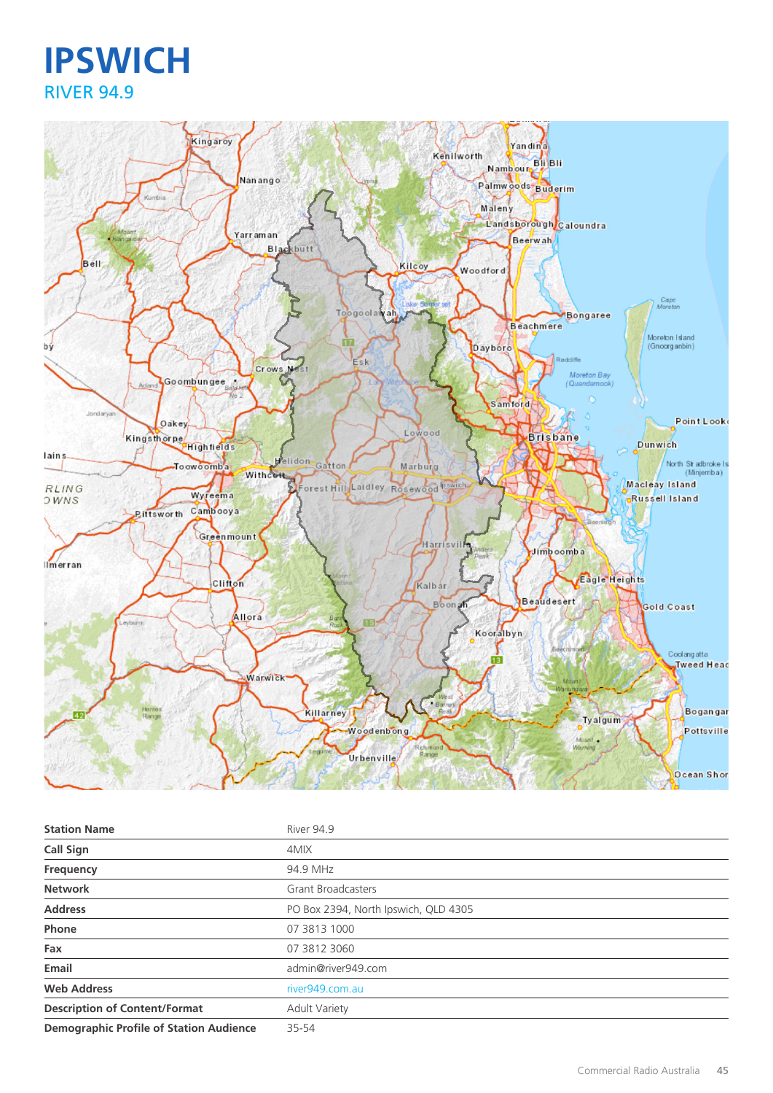## **IPSWICH** RIVER 94.9



| <b>Station Name</b>                            | River 94.9                           |
|------------------------------------------------|--------------------------------------|
| <b>Call Sign</b>                               | 4MIX                                 |
| Frequency                                      | 94.9 MHz                             |
| <b>Network</b>                                 | <b>Grant Broadcasters</b>            |
| <b>Address</b>                                 | PO Box 2394, North Ipswich, QLD 4305 |
| Phone                                          | 07 3813 1000                         |
| Fax                                            | 07 3812 3060                         |
| Email                                          | admin@river949.com                   |
| <b>Web Address</b>                             | river949.com.au                      |
| <b>Description of Content/Format</b>           | <b>Adult Variety</b>                 |
| <b>Demographic Profile of Station Audience</b> | 35-54                                |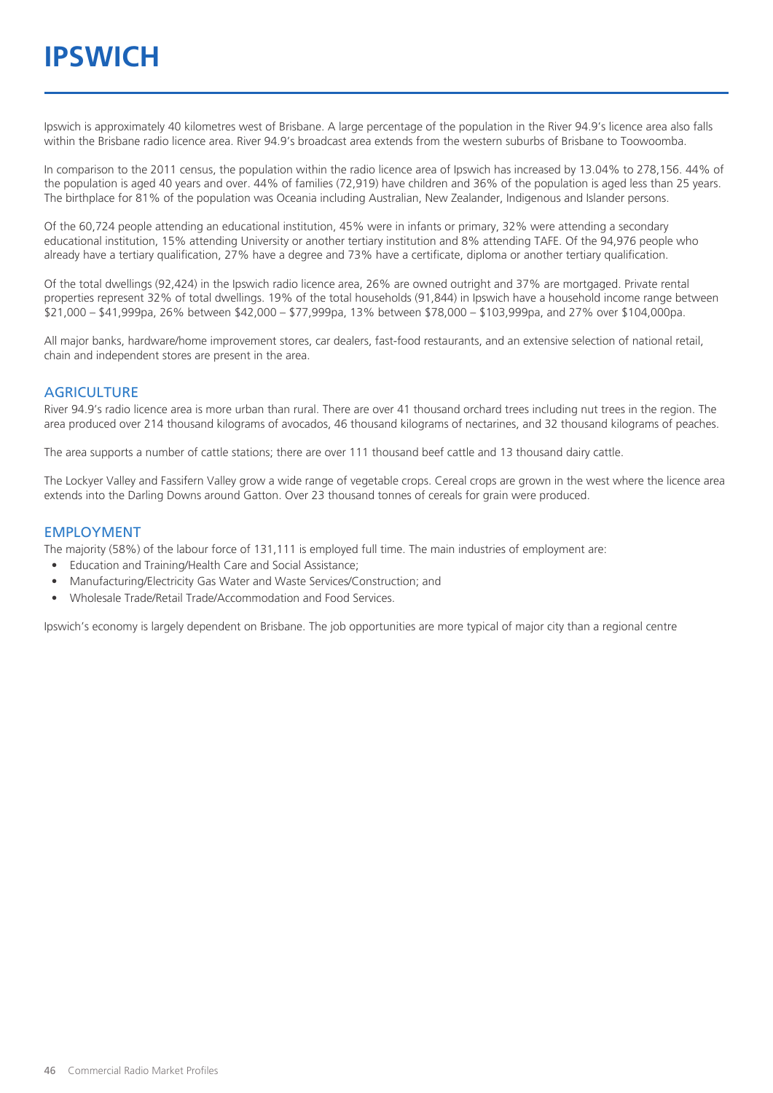Ipswich is approximately 40 kilometres west of Brisbane. A large percentage of the population in the River 94.9's licence area also falls within the Brisbane radio licence area. River 94.9's broadcast area extends from the western suburbs of Brisbane to Toowoomba.

In comparison to the 2011 census, the population within the radio licence area of Ipswich has increased by 13.04% to 278,156. 44% of the population is aged 40 years and over. 44% of families (72,919) have children and 36% of the population is aged less than 25 years. The birthplace for 81% of the population was Oceania including Australian, New Zealander, Indigenous and Islander persons.

Of the 60,724 people attending an educational institution, 45% were in infants or primary, 32% were attending a secondary educational institution, 15% attending University or another tertiary institution and 8% attending TAFE. Of the 94,976 people who already have a tertiary qualification, 27% have a degree and 73% have a certificate, diploma or another tertiary qualification.

Of the total dwellings (92,424) in the Ipswich radio licence area, 26% are owned outright and 37% are mortgaged. Private rental properties represent 32% of total dwellings. 19% of the total households (91,844) in Ipswich have a household income range between \$21,000 – \$41,999pa, 26% between \$42,000 – \$77,999pa, 13% between \$78,000 – \$103,999pa, and 27% over \$104,000pa.

All major banks, hardware/home improvement stores, car dealers, fast-food restaurants, and an extensive selection of national retail, chain and independent stores are present in the area.

#### **AGRICULTURE**

River 94.9's radio licence area is more urban than rural. There are over 41 thousand orchard trees including nut trees in the region. The area produced over 214 thousand kilograms of avocados, 46 thousand kilograms of nectarines, and 32 thousand kilograms of peaches.

The area supports a number of cattle stations; there are over 111 thousand beef cattle and 13 thousand dairy cattle.

The Lockyer Valley and Fassifern Valley grow a wide range of vegetable crops. Cereal crops are grown in the west where the licence area extends into the Darling Downs around Gatton. Over 23 thousand tonnes of cereals for grain were produced.

#### EMPLOYMENT

The majority (58%) of the labour force of 131,111 is employed full time. The main industries of employment are:

- Education and Training/Health Care and Social Assistance;
- Manufacturing/Electricity Gas Water and Waste Services/Construction; and
- Wholesale Trade/Retail Trade/Accommodation and Food Services.

Ipswich's economy is largely dependent on Brisbane. The job opportunities are more typical of major city than a regional centre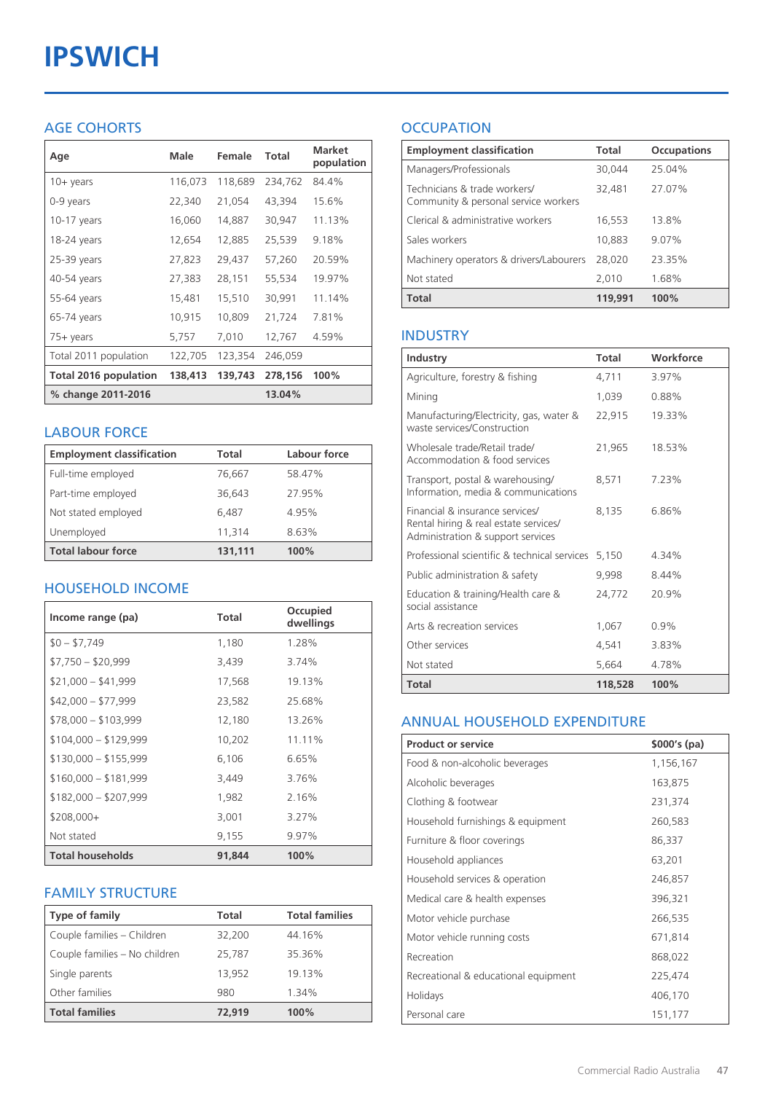# **IPSWICH**

## AGE COHORTS

| Age                          | Male    | Female  | <b>Total</b> | <b>Market</b><br>population |
|------------------------------|---------|---------|--------------|-----------------------------|
| $10 + \gamma$ ears           | 116,073 | 118,689 | 234,762      | 84.4%                       |
| 0-9 years                    | 22,340  | 21,054  | 43,394       | 15.6%                       |
| $10-17$ years                | 16,060  | 14,887  | 30,947       | 11.13%                      |
| 18-24 years                  | 12,654  | 12,885  | 25,539       | 9.18%                       |
| 25-39 years                  | 27,823  | 29,437  | 57,260       | 20.59%                      |
| 40-54 years                  | 27,383  | 28,151  | 55,534       | 19.97%                      |
| 55-64 years                  | 15,481  | 15,510  | 30,991       | 11.14%                      |
| 65-74 years                  | 10,915  | 10,809  | 21,724       | 7.81%                       |
| 75+ years                    | 5,757   | 7,010   | 12,767       | 4.59%                       |
| Total 2011 population        | 122,705 | 123,354 | 246,059      |                             |
| <b>Total 2016 population</b> | 138,413 | 139,743 | 278,156      | 100%                        |
| % change 2011-2016           |         |         | 13.04%       |                             |

#### LABOUR FORCE

| <b>Employment classification</b> | Total   | Labour force |
|----------------------------------|---------|--------------|
| Full-time employed               | 76,667  | 58.47%       |
| Part-time employed               | 36,643  | 27.95%       |
| Not stated employed              | 6,487   | 4.95%        |
| Unemployed                       | 11.314  | 8.63%        |
| <b>Total labour force</b>        | 131,111 | 100%         |

## HOUSEHOLD INCOME

| Income range (pa)       | Total  | Occupied<br>dwellings |
|-------------------------|--------|-----------------------|
| $$0 - $7,749$           | 1,180  | 1.28%                 |
| $$7,750 - $20,999$      | 3,439  | 3.74%                 |
| $$21,000 - $41,999$     | 17,568 | 19.13%                |
| $$42,000 - $77,999$     | 23,582 | 25.68%                |
| $$78,000 - $103,999$    | 12,180 | 13.26%                |
| $$104,000 - $129,999$   | 10,202 | 11.11%                |
| $$130,000 - $155,999$   | 6,106  | 6.65%                 |
| $$160,000 - $181,999$   | 3,449  | 3.76%                 |
| $$182,000 - $207,999$   | 1,982  | 2.16%                 |
| $$208,000+$             | 3,001  | 3.27%                 |
| Not stated              | 9,155  | 9.97%                 |
| <b>Total households</b> | 91.844 | 100%                  |

## FAMILY STRUCTURE

| <b>Type of family</b>         | <b>Total</b> | <b>Total families</b> |
|-------------------------------|--------------|-----------------------|
| Couple families - Children    | 32,200       | 44.16%                |
| Couple families - No children | 25,787       | 35.36%                |
| Single parents                | 13.952       | 19.13%                |
| Other families                | 980          | 1.34%                 |
| <b>Total families</b>         | 72,919       | 100%                  |

## **OCCUPATION**

| <b>Employment classification</b>                                     | Total   | <b>Occupations</b> |
|----------------------------------------------------------------------|---------|--------------------|
| Managers/Professionals                                               | 30,044  | 25.04%             |
| Technicians & trade workers/<br>Community & personal service workers | 32,481  | 27.07%             |
| Clerical & administrative workers                                    | 16,553  | 13.8%              |
| Sales workers                                                        | 10,883  | 9.07%              |
| Machinery operators & drivers/Labourers                              | 28,020  | 23.35%             |
| Not stated                                                           | 2,010   | 1.68%              |
| <b>Total</b>                                                         | 119,991 | 100%               |

#### INDUSTRY

| Industry                                                                                                      | Total   | Workforce |
|---------------------------------------------------------------------------------------------------------------|---------|-----------|
| Agriculture, forestry & fishing                                                                               | 4,711   | 3.97%     |
| Mining                                                                                                        | 1,039   | 0.88%     |
| Manufacturing/Electricity, gas, water &<br>waste services/Construction                                        | 22,915  | 19.33%    |
| Wholesale trade/Retail trade/<br>Accommodation & food services                                                | 21,965  | 18.53%    |
| Transport, postal & warehousing/<br>Information, media & communications                                       | 8,571   | 7.23%     |
| Financial & insurance services/<br>Rental hiring & real estate services/<br>Administration & support services | 8.135   | 6.86%     |
| Professional scientific & technical services                                                                  | 5.150   | 4.34%     |
| Public administration & safety                                                                                | 9,998   | 844%      |
| Education & training/Health care &<br>social assistance                                                       | 24,772  | 20.9%     |
| Arts & recreation services                                                                                    | 1,067   | $0.9\%$   |
| Other services                                                                                                | 4,541   | 3.83%     |
| Not stated                                                                                                    | 5,664   | 4.78%     |
| Total                                                                                                         | 118,528 | 100%      |

#### ANNUAL HOUSEHOLD EXPENDITURE

| <b>Product or service</b>            | $$000's$ (pa) |
|--------------------------------------|---------------|
| Food & non-alcoholic beverages       | 1,156,167     |
| Alcoholic beverages                  | 163,875       |
| Clothing & footwear                  | 231,374       |
| Household furnishings & equipment    | 260,583       |
| Furniture & floor coverings          | 86,337        |
| Household appliances                 | 63,201        |
| Household services & operation       | 246,857       |
| Medical care & health expenses       | 396,321       |
| Motor vehicle purchase               | 266,535       |
| Motor vehicle running costs          | 671,814       |
| Recreation                           | 868,022       |
| Recreational & educational equipment | 225,474       |
| Holidays                             | 406,170       |
| Personal care                        | 151,177       |